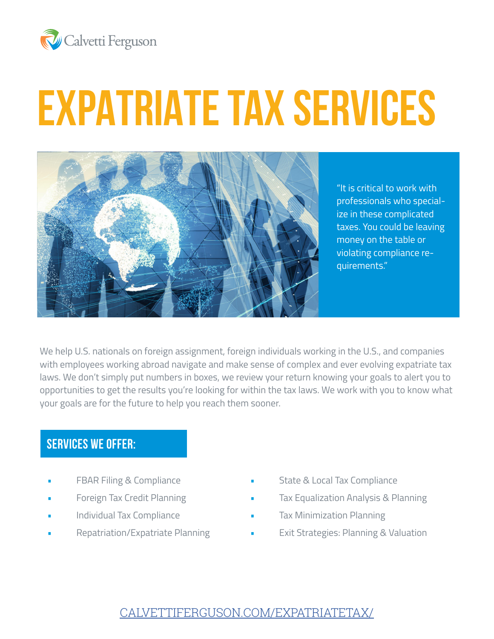

# **EXPATRIATE TAX SERVICES**



"It is critical to work with professionals who specialize in these complicated taxes. You could be leaving money on the table or violating compliance requirements."

We help U.S. nationals on foreign assignment, foreign individuals working in the U.S., and companies with employees working abroad navigate and make sense of complex and ever evolving expatriate tax laws. We don't simply put numbers in boxes, we review your return knowing your goals to alert you to opportunities to get the results you're looking for within the tax laws. We work with you to know what your goals are for the future to help you reach them sooner.

### **SERVICES WE OFFER:**

- FBAR Filing & Compliance
- Foreign Tax Credit Planning
- Individual Tax Compliance
- Repatriation/Expatriate Planning
- State & Local Tax Compliance
- Tax Equalization Analysis & Planning
- Tax Minimization Planning
- Exit Strategies: Planning & Valuation

## [CALVETTIFERGUSON.COM/EXPATRIATETAX/](http://CALVETTIFERGUSON.COM/EXPATRIATETAX/)